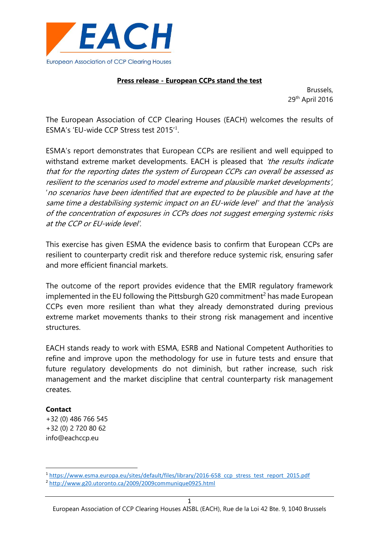

### **Press release - European CCPs stand the test**

Brussels, 29th April 2016

The European Association of CCP Clearing Houses (EACH) welcomes the results of ESMA's 'EU-wide CCP Stress test 2015'<sup>1</sup> .

ESMA's report demonstrates that European CCPs are resilient and well equipped to withstand extreme market developments. EACH is pleased that 'the results indicate that for the reporting dates the system of European CCPs can overall be assessed as resilient to the scenarios used to model extreme and plausible market developments', 'no scenarios have been identified that are expected to be plausible and have at the same time a destabilising systemic impact on an EU-wide level'' and that the 'analysis of the concentration of exposures in CCPs does not suggest emerging systemic risks at the CCP or EU-wide level'.

This exercise has given ESMA the evidence basis to confirm that European CCPs are resilient to counterparty credit risk and therefore reduce systemic risk, ensuring safer and more efficient financial markets.

The outcome of the report provides evidence that the EMIR regulatory framework implemented in the EU following the Pittsburgh G20 commitment<sup>2</sup> has made European CCPs even more resilient than what they already demonstrated during previous extreme market movements thanks to their strong risk management and incentive structures.

EACH stands ready to work with ESMA, ESRB and National Competent Authorities to refine and improve upon the methodology for use in future tests and ensure that future regulatory developments do not diminish, but rather increase, such risk management and the market discipline that central counterparty risk management creates.

# **Contact**

**.** 

+32 (0) 486 766 545 +32 (0) 2 720 80 62 info@eachccp.eu

<sup>1</sup> [https://www.esma.europa.eu/sites/default/files/library/2016-658\\_ccp\\_stress\\_test\\_report\\_2015.pdf](https://www.esma.europa.eu/sites/default/files/library/2016-658_ccp_stress_test_report_2015.pdf)

<sup>2</sup> <http://www.g20.utoronto.ca/2009/2009communique0925.html>